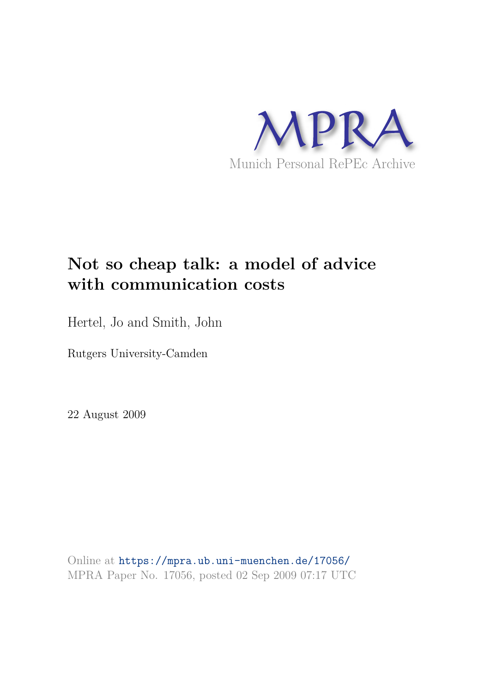

# **Not so cheap talk: a model of advice with communication costs**

Hertel, Jo and Smith, John

Rutgers University-Camden

22 August 2009

Online at https://mpra.ub.uni-muenchen.de/17056/ MPRA Paper No. 17056, posted 02 Sep 2009 07:17 UTC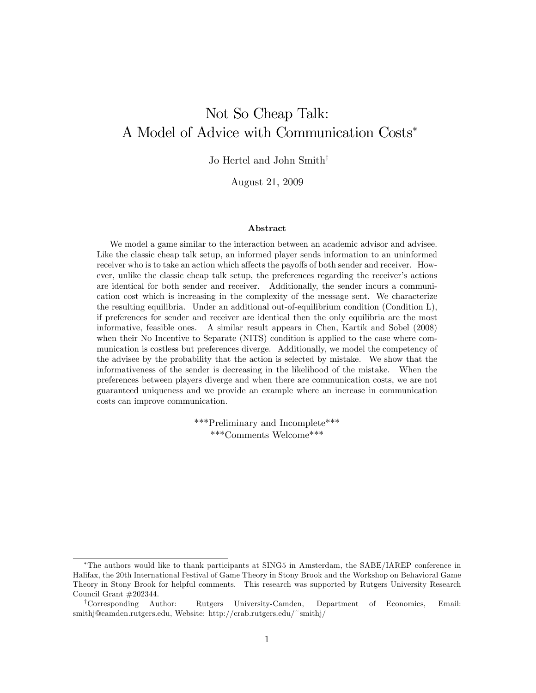## Not So Cheap Talk: A Model of Advice with Communication Costs

Jo Hertel and John Smith<sup>†</sup>

August 21, 2009

#### Abstract

We model a game similar to the interaction between an academic advisor and advisee. Like the classic cheap talk setup, an informed player sends information to an uninformed receiver who is to take an action which affects the payoffs of both sender and receiver. However, unlike the classic cheap talk setup, the preferences regarding the receiver's actions are identical for both sender and receiver. Additionally, the sender incurs a communication cost which is increasing in the complexity of the message sent. We characterize the resulting equilibria. Under an additional out-of-equilibrium condition (Condition L), if preferences for sender and receiver are identical then the only equilibria are the most informative, feasible ones. A similar result appears in Chen, Kartik and Sobel (2008) when their No Incentive to Separate (NITS) condition is applied to the case where communication is costless but preferences diverge. Additionally, we model the competency of the advisee by the probability that the action is selected by mistake. We show that the informativeness of the sender is decreasing in the likelihood of the mistake. When the preferences between players diverge and when there are communication costs, we are not guaranteed uniqueness and we provide an example where an increase in communication costs can improve communication.

> \*\*\*Preliminary and Incomplete\*\*\* \*\*\*Comments Welcome\*\*\*

The authors would like to thank participants at SING5 in Amsterdam, the SABE/IAREP conference in Halifax, the 20th International Festival of Game Theory in Stony Brook and the Workshop on Behavioral Game Theory in Stony Brook for helpful comments. This research was supported by Rutgers University Research Council Grant #202344.

<sup>y</sup>Corresponding Author: Rutgers University-Camden, Department of Economics, Email: smithj@camden.rutgers.edu, Website: http://crab.rutgers.edu/~smithj/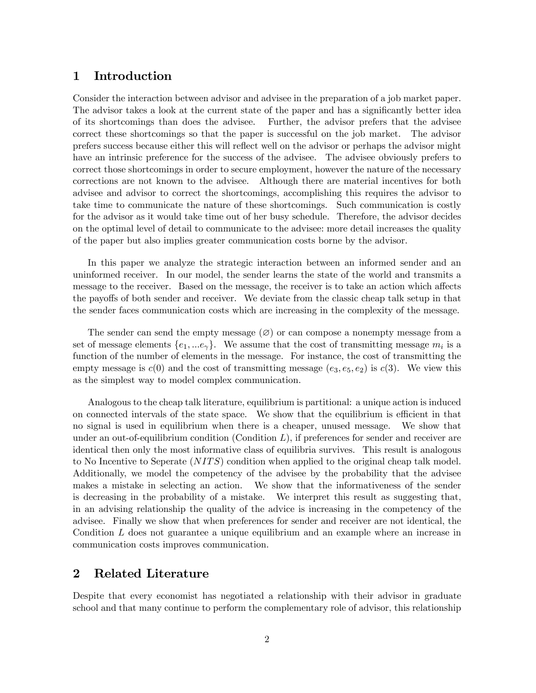### 1 Introduction

Consider the interaction between advisor and advisee in the preparation of a job market paper. The advisor takes a look at the current state of the paper and has a significantly better idea of its shortcomings than does the advisee. Further, the advisor prefers that the advisee correct these shortcomings so that the paper is successful on the job market. The advisor prefers success because either this will reflect well on the advisor or perhaps the advisor might have an intrinsic preference for the success of the advisee. The advisee obviously prefers to correct those shortcomings in order to secure employment, however the nature of the necessary corrections are not known to the advisee. Although there are material incentives for both advisee and advisor to correct the shortcomings, accomplishing this requires the advisor to take time to communicate the nature of these shortcomings. Such communication is costly for the advisor as it would take time out of her busy schedule. Therefore, the advisor decides on the optimal level of detail to communicate to the advisee: more detail increases the quality of the paper but also implies greater communication costs borne by the advisor.

In this paper we analyze the strategic interaction between an informed sender and an uninformed receiver. In our model, the sender learns the state of the world and transmits a message to the receiver. Based on the message, the receiver is to take an action which affects the payoffs of both sender and receiver. We deviate from the classic cheap talk setup in that the sender faces communication costs which are increasing in the complexity of the message.

The sender can send the empty message  $(\emptyset)$  or can compose a nonempty message from a set of message elements  $\{e_1, \ldots e_{\gamma}\}\$ . We assume that the cost of transmitting message  $m_i$  is a function of the number of elements in the message. For instance, the cost of transmitting the empty message is  $c(0)$  and the cost of transmitting message  $(e_3, e_5, e_2)$  is  $c(3)$ . We view this as the simplest way to model complex communication.

Analogous to the cheap talk literature, equilibrium is partitional: a unique action is induced on connected intervals of the state space. We show that the equilibrium is efficient in that no signal is used in equilibrium when there is a cheaper, unused message. We show that under an out-of-equilibrium condition  $(Condition L)$ , if preferences for sender and receiver are identical then only the most informative class of equilibria survives. This result is analogous to No Incentive to Seperate  $(NITS)$  condition when applied to the original cheap talk model. Additionally, we model the competency of the advisee by the probability that the advisee makes a mistake in selecting an action. We show that the informativeness of the sender is decreasing in the probability of a mistake. We interpret this result as suggesting that, in an advising relationship the quality of the advice is increasing in the competency of the advisee. Finally we show that when preferences for sender and receiver are not identical, the Condition L does not guarantee a unique equilibrium and an example where an increase in communication costs improves communication.

### 2 Related Literature

Despite that every economist has negotiated a relationship with their advisor in graduate school and that many continue to perform the complementary role of advisor, this relationship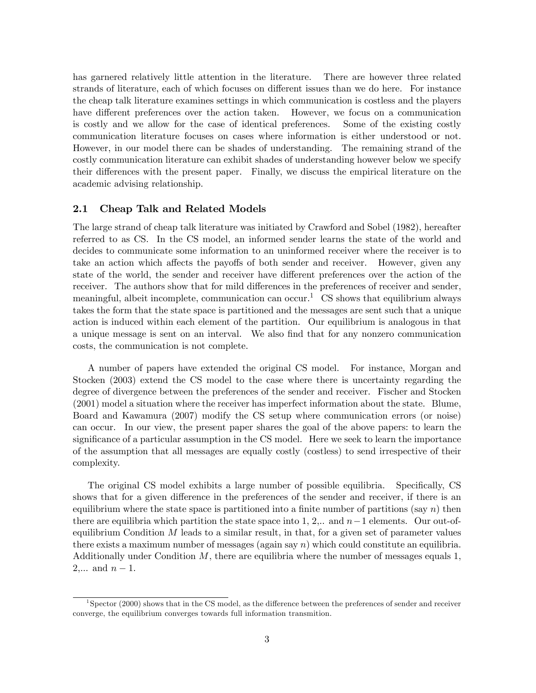has garnered relatively little attention in the literature. There are however three related strands of literature, each of which focuses on different issues than we do here. For instance the cheap talk literature examines settings in which communication is costless and the players have different preferences over the action taken. However, we focus on a communication is costly and we allow for the case of identical preferences. Some of the existing costly communication literature focuses on cases where information is either understood or not. However, in our model there can be shades of understanding. The remaining strand of the costly communication literature can exhibit shades of understanding however below we specify their differences with the present paper. Finally, we discuss the empirical literature on the academic advising relationship.

#### 2.1 Cheap Talk and Related Models

The large strand of cheap talk literature was initiated by Crawford and Sobel (1982), hereafter referred to as CS. In the CS model, an informed sender learns the state of the world and decides to communicate some information to an uninformed receiver where the receiver is to take an action which affects the payoffs of both sender and receiver. However, given any state of the world, the sender and receiver have different preferences over the action of the receiver. The authors show that for mild differences in the preferences of receiver and sender, meaningful, albeit incomplete, communication can occur.<sup>1</sup> CS shows that equilibrium always takes the form that the state space is partitioned and the messages are sent such that a unique action is induced within each element of the partition. Our equilibrium is analogous in that a unique message is sent on an interval. We also Önd that for any nonzero communication costs, the communication is not complete.

A number of papers have extended the original CS model. For instance, Morgan and Stocken (2003) extend the CS model to the case where there is uncertainty regarding the degree of divergence between the preferences of the sender and receiver. Fischer and Stocken (2001) model a situation where the receiver has imperfect information about the state. Blume, Board and Kawamura (2007) modify the CS setup where communication errors (or noise) can occur. In our view, the present paper shares the goal of the above papers: to learn the significance of a particular assumption in the CS model. Here we seek to learn the importance of the assumption that all messages are equally costly (costless) to send irrespective of their complexity.

The original CS model exhibits a large number of possible equilibria. Specifically, CS shows that for a given difference in the preferences of the sender and receiver, if there is an equilibrium where the state space is partitioned into a finite number of partitions (say  $n$ ) then there are equilibria which partition the state space into 1, 2,.. and  $n-1$  elements. Our out-ofequilibrium Condition  $M$  leads to a similar result, in that, for a given set of parameter values there exists a maximum number of messages (again say  $n$ ) which could constitute an equilibria. Additionally under Condition  $M$ , there are equilibria where the number of messages equals 1,  $2,... \text{ and } n-1.$ 

<sup>&</sup>lt;sup>1</sup>Spector (2000) shows that in the CS model, as the difference between the preferences of sender and receiver converge, the equilibrium converges towards full information transmition.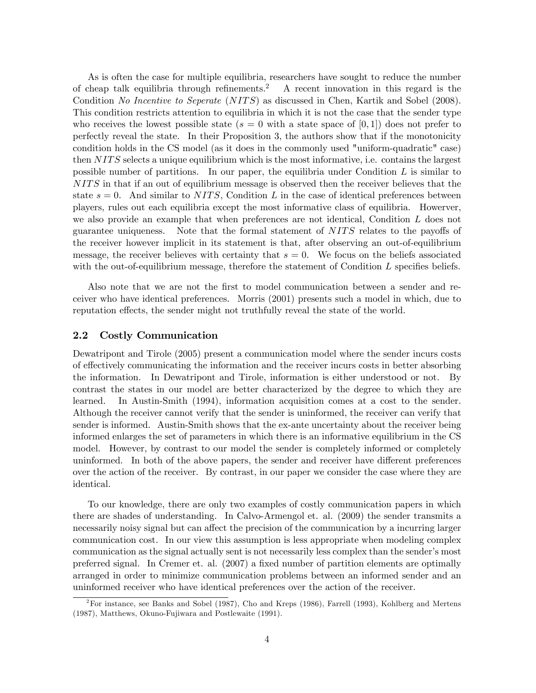As is often the case for multiple equilibria, researchers have sought to reduce the number of cheap talk equilibria through refinements.<sup>2</sup> A recent innovation in this regard is the Condition No Incentive to Seperate (NITS) as discussed in Chen, Kartik and Sobel (2008). This condition restricts attention to equilibria in which it is not the case that the sender type who receives the lowest possible state ( $s = 0$  with a state space of [0,1]) does not prefer to perfectly reveal the state. In their Proposition 3, the authors show that if the monotonicity condition holds in the CS model (as it does in the commonly used "uniform-quadratic" case) then  $NITS$  selects a unique equilibrium which is the most informative, i.e. contains the largest possible number of partitions. In our paper, the equilibria under Condition L is similar to NITS in that if an out of equilibrium message is observed then the receiver believes that the state  $s = 0$ . And similar to NITS, Condition L in the case of identical preferences between players, rules out each equilibria except the most informative class of equilibria. Howerver, we also provide an example that when preferences are not identical, Condition L does not guarantee uniqueness. Note that the formal statement of  $NITS$  relates to the payoffs of the receiver however implicit in its statement is that, after observing an out-of-equilibrium message, the receiver believes with certainty that  $s = 0$ . We focus on the beliefs associated with the out-of-equilibrium message, therefore the statement of Condition  $L$  specifies beliefs.

Also note that we are not the first to model communication between a sender and receiver who have identical preferences. Morris (2001) presents such a model in which, due to reputation effects, the sender might not truthfully reveal the state of the world.

#### 2.2 Costly Communication

Dewatripont and Tirole (2005) present a communication model where the sender incurs costs of effectively communicating the information and the receiver incurs costs in better absorbing the information. In Dewatripont and Tirole, information is either understood or not. By contrast the states in our model are better characterized by the degree to which they are learned. In Austin-Smith (1994), information acquisition comes at a cost to the sender. Although the receiver cannot verify that the sender is uninformed, the receiver can verify that sender is informed. Austin-Smith shows that the ex-ante uncertainty about the receiver being informed enlarges the set of parameters in which there is an informative equilibrium in the CS model. However, by contrast to our model the sender is completely informed or completely uninformed. In both of the above papers, the sender and receiver have different preferences over the action of the receiver. By contrast, in our paper we consider the case where they are identical.

To our knowledge, there are only two examples of costly communication papers in which there are shades of understanding. In Calvo-Armengol et. al. (2009) the sender transmits a necessarily noisy signal but can affect the precision of the communication by a incurring larger communication cost. In our view this assumption is less appropriate when modeling complex communication as the signal actually sent is not necessarily less complex than the sender's most preferred signal. In Cremer et. al. (2007) a fixed number of partition elements are optimally arranged in order to minimize communication problems between an informed sender and an uninformed receiver who have identical preferences over the action of the receiver.

 $^{2}$ For instance, see Banks and Sobel (1987), Cho and Kreps (1986), Farrell (1993), Kohlberg and Mertens (1987), Matthews, Okuno-Fujiwara and Postlewaite (1991).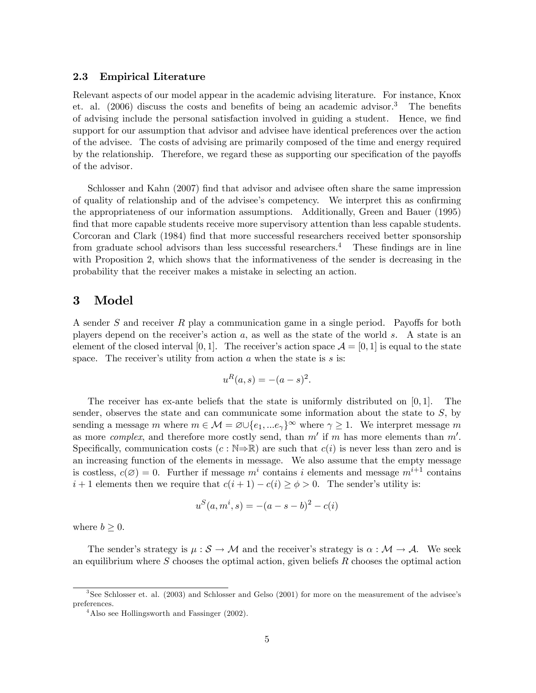#### 2.3 Empirical Literature

Relevant aspects of our model appear in the academic advising literature. For instance, Knox et. al.  $(2006)$  discuss the costs and benefits of being an academic advisor.<sup>3</sup> The benefits of advising include the personal satisfaction involved in guiding a student. Hence, we find support for our assumption that advisor and advisee have identical preferences over the action of the advisee. The costs of advising are primarily composed of the time and energy required by the relationship. Therefore, we regard these as supporting our specification of the payoffs of the advisor.

Schlosser and Kahn (2007) find that adviser and advisee often share the same impression of quality of relationship and of the advisee's competency. We interpret this as confirming the appropriateness of our information assumptions. Additionally, Green and Bauer (1995) find that more capable students receive more supervisory attention than less capable students. Corcoran and Clark (1984) find that more successful researchers received better sponsorship from graduate school advisors than less successful researchers.<sup>4</sup> These findings are in line with Proposition 2, which shows that the informativeness of the sender is decreasing in the probability that the receiver makes a mistake in selecting an action.

### 3 Model

A sender S and receiver R play a communication game in a single period. Payoffs for both players depend on the receiver's action  $a$ , as well as the state of the world s. A state is an element of the closed interval [0, 1]. The receiver's action space  $\mathcal{A} = [0, 1]$  is equal to the state space. The receiver's utility from action  $a$  when the state is  $s$  is:

$$
u^R(a,s) = -(a-s)^2.
$$

The receiver has ex-ante beliefs that the state is uniformly distributed on  $[0, 1]$ . The sender, observes the state and can communicate some information about the state to  $S$ , by sending a message m where  $m \in \mathcal{M} = \varnothing \cup \{e_1, \ldots e_{\gamma}\}^{\infty}$  where  $\gamma \geq 1$ . We interpret message m as more *complex*, and therefore more costly send, than  $m'$  if m has more elements than  $m'$ . Specifically, communication costs  $(c : \mathbb{N} \Rightarrow \mathbb{R})$  are such that  $c(i)$  is never less than zero and is an increasing function of the elements in message. We also assume that the empty message is costless,  $c(\emptyset) = 0$ . Further if message  $m^i$  contains i elements and message  $m^{i+1}$  contains  $i+1$  elements then we require that  $c(i+1) - c(i) \ge \phi > 0$ . The sender's utility is:

$$
u^{S}(a, m^{i}, s) = -(a - s - b)^{2} - c(i)
$$

where  $b \geq 0$ .

The sender's strategy is  $\mu : S \to M$  and the receiver's strategy is  $\alpha : M \to A$ . We seek an equilibrium where  $S$  chooses the optimal action, given beliefs  $R$  chooses the optimal action

 $3$ See Schlosser et. al. (2003) and Schlosser and Gelso (2001) for more on the measurement of the advisee's preferences.

<sup>&</sup>lt;sup>4</sup>Also see Hollingsworth and Fassinger (2002).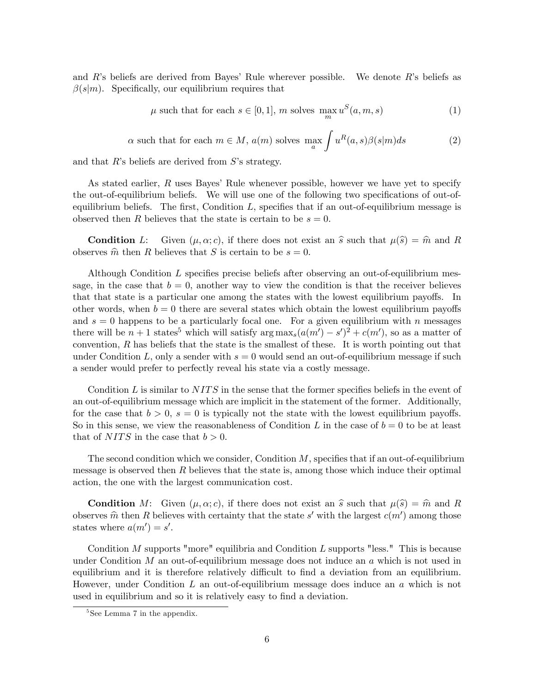and  $R$ 's beliefs are derived from Bayes' Rule wherever possible. We denote  $R$ 's beliefs as  $\beta(s|m)$ . Specifically, our equilibrium requires that

$$
\mu \text{ such that for each } s \in [0, 1], \, m \text{ solves } \max_{m} u^S(a, m, s) \tag{1}
$$

$$
\alpha
$$
 such that for each  $m \in M$ ,  $a(m)$  solves  $\max_{a} \int u^{R}(a, s)\beta(s|m)ds$  (2)

and that  $R$ 's beliefs are derived from  $S$ 's strategy.

As stated earlier, R uses Bayes' Rule whenever possible, however we have yet to specify the out-of-equilibrium beliefs. We will use one of the following two specifications of out-ofequilibrium beliefs. The first, Condition  $L$ , specifies that if an out-of-equilibrium message is observed then R believes that the state is certain to be  $s = 0$ .

**Condition** L: Given  $(\mu, \alpha; c)$ , if there does not exist an  $\hat{s}$  such that  $\mu(\hat{s}) = \hat{m}$  and R observes  $\hat{m}$  then R believes that S is certain to be  $s = 0$ .

Although Condition  $L$  specifies precise beliefs after observing an out-of-equilibrium message, in the case that  $b = 0$ , another way to view the condition is that the receiver believes that that state is a particular one among the states with the lowest equilibrium payoffs. In other words, when  $b = 0$  there are several states which obtain the lowest equilibrium payoffs and  $s = 0$  happens to be a particularly focal one. For a given equilibrium with n messages there will be  $n+1$  states<sup>5</sup> which will satisfy  $\arg \max_s(a(m') - s')^2 + c(m')$ , so as a matter of convention,  $R$  has beliefs that the state is the smallest of these. It is worth pointing out that under Condition L, only a sender with  $s = 0$  would send an out-of-equilibrium message if such a sender would prefer to perfectly reveal his state via a costly message.

Condition L is similar to  $NITS$  in the sense that the former specifies beliefs in the event of an out-of-equilibrium message which are implicit in the statement of the former. Additionally, for the case that  $b > 0$ ,  $s = 0$  is typically not the state with the lowest equilibrium payoffs. So in this sense, we view the reasonableness of Condition L in the case of  $b = 0$  to be at least that of  $NITS$  in the case that  $b > 0$ .

The second condition which we consider, Condition  $M$ , specifies that if an out-of-equilibrium message is observed then  $R$  believes that the state is, among those which induce their optimal action, the one with the largest communication cost.

**Condition** M: Given  $(\mu, \alpha; c)$ , if there does not exist an  $\hat{s}$  such that  $\mu(\hat{s}) = \hat{m}$  and R observes  $\hat{m}$  then R believes with certainty that the state s' with the largest  $c(m')$  among those states where  $a(m') = s'$ .

Condition  $M$  supports "more" equilibria and Condition  $L$  supports "less." This is because under Condition M an out-of-equilibrium message does not induce an  $a$  which is not used in equilibrium and it is therefore relatively difficult to find a deviation from an equilibrium. However, under Condition  $L$  an out-of-equilibrium message does induce an  $a$  which is not used in equilibrium and so it is relatively easy to find a deviation.

<sup>&</sup>lt;sup>5</sup>See Lemma 7 in the appendix.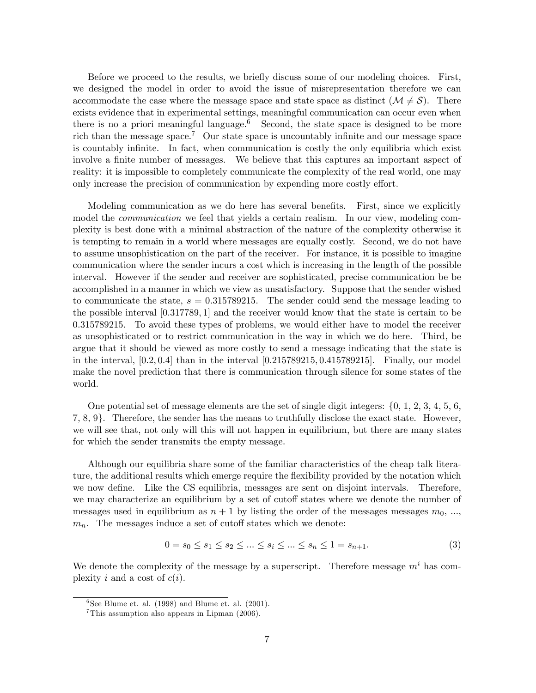Before we proceed to the results, we briefly discuss some of our modeling choices. First, we designed the model in order to avoid the issue of misrepresentation therefore we can accommodate the case where the message space and state space as distinct  $(M \neq S)$ . There exists evidence that in experimental settings, meaningful communication can occur even when there is no a priori meaningful language.<sup>6</sup> Second, the state space is designed to be more rich than the message space.<sup>7</sup> Our state space is uncountably infinite and our message space is countably infinite. In fact, when communication is costly the only equilibria which exist involve a finite number of messages. We believe that this captures an important aspect of reality: it is impossible to completely communicate the complexity of the real world, one may only increase the precision of communication by expending more costly effort.

Modeling communication as we do here has several benefits. First, since we explicitly model the *communication* we feel that yields a certain realism. In our view, modeling complexity is best done with a minimal abstraction of the nature of the complexity otherwise it is tempting to remain in a world where messages are equally costly. Second, we do not have to assume unsophistication on the part of the receiver. For instance, it is possible to imagine communication where the sender incurs a cost which is increasing in the length of the possible interval. However if the sender and receiver are sophisticated, precise communication be be accomplished in a manner in which we view as unsatisfactory. Suppose that the sender wished to communicate the state,  $s = 0.315789215$ . The sender could send the message leading to the possible interval  $[0.317789, 1]$  and the receiver would know that the state is certain to be 0:315789215. To avoid these types of problems, we would either have to model the receiver as unsophisticated or to restrict communication in the way in which we do here. Third, be argue that it should be viewed as more costly to send a message indicating that the state is in the interval,  $[0.2, 0.4]$  than in the interval  $[0.215789215, 0.415789215]$ . Finally, our model make the novel prediction that there is communication through silence for some states of the world.

One potential set of message elements are the set of single digit integers:  $\{0, 1, 2, 3, 4, 5, 6, \}$  $7, 8, 9$ . Therefore, the sender has the means to truthfully disclose the exact state. However, we will see that, not only will this will not happen in equilibrium, but there are many states for which the sender transmits the empty message.

Although our equilibria share some of the familiar characteristics of the cheap talk literature, the additional results which emerge require the flexibility provided by the notation which we now define. Like the CS equilibria, messages are sent on disjoint intervals. Therefore, we may characterize an equilibrium by a set of cutoff states where we denote the number of messages used in equilibrium as  $n + 1$  by listing the order of the messages messages  $m_0$ , ...  $m_n$ . The messages induce a set of cutoff states which we denote:

$$
0 = s_0 \le s_1 \le s_2 \le \dots \le s_i \le \dots \le s_n \le 1 = s_{n+1}.\tag{3}
$$

We denote the complexity of the message by a superscript. Therefore message  $m<sup>i</sup>$  has complexity i and a cost of  $c(i)$ .

 ${}^{6}$ See Blume et. al. (1998) and Blume et. al. (2001).

 $7$ This assumption also appears in Lipman (2006).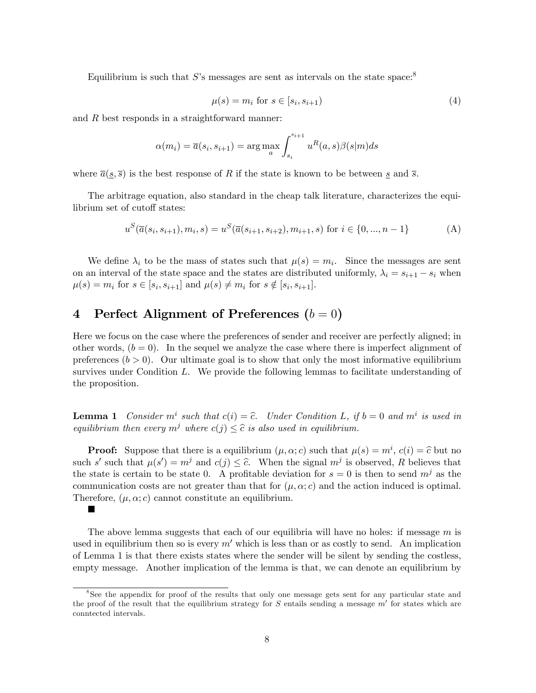Equilibrium is such that S's messages are sent as intervals on the state space.<sup>8</sup>

$$
\mu(s) = m_i \text{ for } s \in [s_i, s_{i+1})
$$
\n
$$
(4)
$$

and R best responds in a straightforward manner:

$$
\alpha(m_i) = \overline{a}(s_i, s_{i+1}) = \arg\max_{a} \int_{s_i}^{s_{i+1}} u^R(a, s)\beta(s|m)ds
$$

where  $\overline{a}(s,\overline{s})$  is the best response of R if the state is known to be between s and  $\overline{s}$ .

The arbitrage equation, also standard in the cheap talk literature, characterizes the equilibrium set of cutoff states:

$$
u^S(\overline{a}(s_i, s_{i+1}), m_i, s) = u^S(\overline{a}(s_{i+1}, s_{i+2}), m_{i+1}, s) \text{ for } i \in \{0, ..., n-1\}
$$
 (A)

We define  $\lambda_i$  to be the mass of states such that  $\mu(s) = m_i$ . Since the messages are sent on an interval of the state space and the states are distributed uniformly,  $\lambda_i = s_{i+1} - s_i$  when  $\mu(s) = m_i \text{ for } s \in [s_i, s_{i+1}] \text{ and } \mu(s) \neq m_i \text{ for } s \notin [s_i, s_{i+1}].$ 

### 4 Perfect Alignment of Preferences  $(b = 0)$

▬

Here we focus on the case where the preferences of sender and receiver are perfectly aligned; in other words,  $(b = 0)$ . In the sequel we analyze the case where there is imperfect alignment of preferences  $(b > 0)$ . Our ultimate goal is to show that only the most informative equilibrium survives under Condition  $L$ . We provide the following lemmas to facilitate understanding of the proposition.

**Lemma 1** Consider  $m^i$  such that  $c(i) = \hat{c}$ . Under Condition L, if  $b = 0$  and  $m^i$  is used in equilibrium then every  $m^j$  where  $c(j) \leq \hat{c}$  is also used in equilibrium.

**Proof:** Suppose that there is a equilibrium  $(\mu, \alpha; c)$  such that  $\mu(s) = m^i$ ,  $c(i) = \hat{c}$  but no such s' such that  $\mu(s') = m^j$  and  $c(j) \leq \hat{c}$ . When the signal  $m^j$  is observed, R believes that the state is certain to be state 0. A profitable deviation for  $s = 0$  is then to send  $m^{j}$  as the communication costs are not greater than that for  $(\mu, \alpha; c)$  and the action induced is optimal. Therefore,  $(\mu, \alpha; c)$  cannot constitute an equilibrium.

The above lemma suggests that each of our equilibria will have no holes: if message  $m$  is used in equilibrium then so is every  $m'$  which is less than or as costly to send. An implication of Lemma 1 is that there exists states where the sender will be silent by sending the costless, empty message. Another implication of the lemma is that, we can denote an equilibrium by

<sup>8</sup> See the appendix for proof of the results that only one message gets sent for any particular state and the proof of the result that the equilibrium strategy for  $S$  entails sending a message  $m'$  for states which are conntected intervals.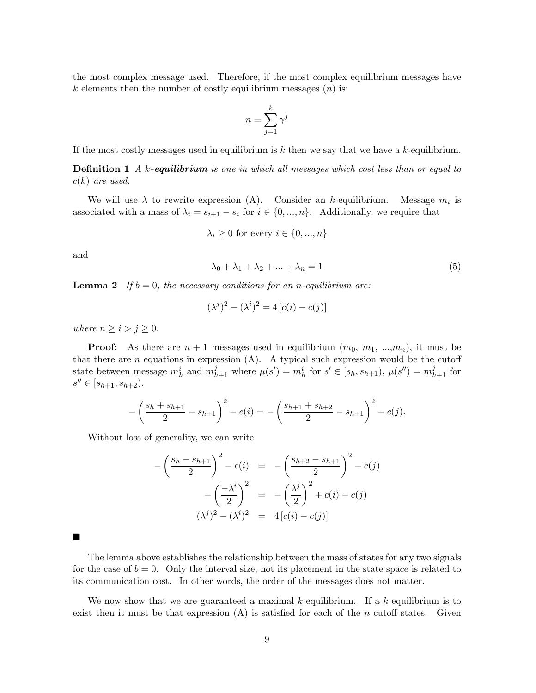the most complex message used. Therefore, if the most complex equilibrium messages have k elements then the number of costly equilibrium messages  $(n)$  is:

$$
n=\sum_{j=1}^k \gamma^j
$$

If the most costly messages used in equilibrium is  $k$  then we say that we have a  $k$ -equilibrium.

**Definition 1** A k-equilibrium is one in which all messages which cost less than or equal to  $c(k)$  are used.

We will use  $\lambda$  to rewrite expression (A). Consider an k-equilibrium. Message  $m_i$  is associated with a mass of  $\lambda_i = s_{i+1} - s_i$  for  $i \in \{0, ..., n\}$ . Additionally, we require that

$$
\lambda_i \ge 0 \text{ for every } i \in \{0, ..., n\}
$$

and

$$
\lambda_0 + \lambda_1 + \lambda_2 + \ldots + \lambda_n = 1 \tag{5}
$$

**Lemma 2** If  $b = 0$ , the necessary conditions for an n-equilibrium are:

$$
(\lambda^{j})^{2} - (\lambda^{i})^{2} = 4[c(i) - c(j)]
$$

where  $n \geq i > j \geq 0$ .

**Proof:** As there are  $n + 1$  messages used in equilibrium  $(m_0, m_1, ..., m_n)$ , it must be that there are n equations in expression  $(A)$ . A typical such expression would be the cutoff state between message  $m_h^i$  and  $m_{h+1}^j$  where  $\mu(s') = m_h^i$  for  $s' \in [s_h, s_{h+1}), \mu(s'') = m_{h+1}^j$  for  $s'' \in [s_{h+1}, s_{h+2}).$ 

$$
-\left(\frac{s_h+s_{h+1}}{2}-s_{h+1}\right)^2 - c(i) = -\left(\frac{s_{h+1}+s_{h+2}}{2}-s_{h+1}\right)^2 - c(j).
$$

Without loss of generality, we can write

$$
-\left(\frac{s_h - s_{h+1}}{2}\right)^2 - c(i) = -\left(\frac{s_{h+2} - s_{h+1}}{2}\right)^2 - c(j) -\left(\frac{-\lambda^i}{2}\right)^2 = -\left(\frac{\lambda^j}{2}\right)^2 + c(i) - c(j) - (\lambda^j)^2 - (\lambda^i)^2 = 4[c(i) - c(j)]
$$

The lemma above establishes the relationship between the mass of states for any two signals for the case of  $b = 0$ . Only the interval size, not its placement in the state space is related to its communication cost. In other words, the order of the messages does not matter.

We now show that we are guaranteed a maximal k-equilibrium. If a k-equilibrium is to exist then it must be that expression  $(A)$  is satisfied for each of the n cutoff states. Given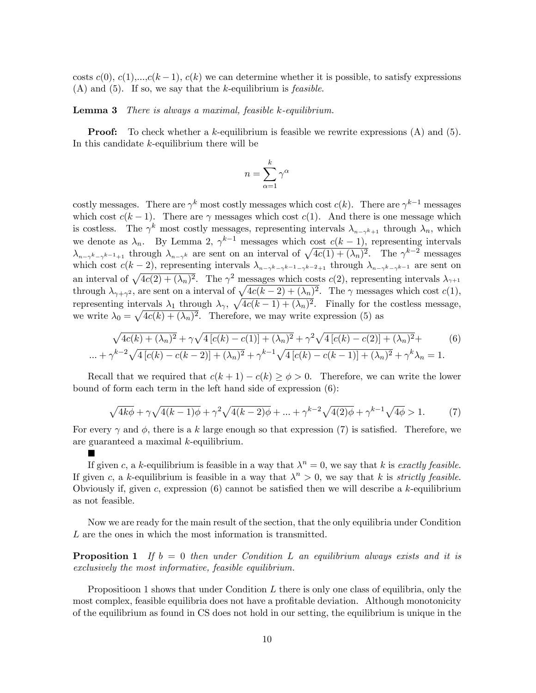costs  $c(0), c(1), \ldots, c(k-1), c(k)$  we can determine whether it is possible, to satisfy expressions  $(A)$  and  $(5)$ . If so, we say that the k-equilibrium is *feasible*.

Lemma 3 There is always a maximal, feasible k-equilibrium.

**Proof:** To check whether a k-equilibrium is feasible we rewrite expressions  $(A)$  and  $(5)$ . In this candidate  $k$ -equilibrium there will be

$$
n=\sum_{\alpha=1}^k\gamma^\alpha
$$

costly messages. There are  $\gamma^k$  most costly messages which cost  $c(k)$ . There are  $\gamma^{k-1}$  messages which cost  $c(k-1)$ . There are  $\gamma$  messages which cost  $c(1)$ . And there is one message which is costless. The  $\gamma^k$  most costly messages, representing intervals  $\lambda_{n-\gamma^{k+1}}$  through  $\lambda_n$ , which we denote as  $\lambda_n$ . By Lemma 2,  $\gamma^{k-1}$  messages which cost  $c(k-1)$ , representing intervals  $\lambda_{n-\gamma^k-\gamma^{k-1}+1}$  through  $\lambda_{n-\gamma^k}$  are sent on an interval of  $\sqrt{4c(1)+(\lambda_n)^2}$ . The  $\gamma^{k-2}$  messages which cost  $c(k-2)$ , representing intervals  $\lambda_{n-\gamma^k-\gamma^{k-1}-\gamma^{k-2}+1}$  through  $\lambda_{n-\gamma^k-\gamma^{k-1}}$  are sent on an interval of  $\sqrt{4c(2) + (\lambda_n)^2}$ . The  $\gamma^2$  messages which costs  $c(2)$ , representing intervals  $\lambda_{\gamma+1}$ through  $\lambda_{\gamma+\gamma^2}$ , are sent on a interval of  $\sqrt{4c(k-2)+(\lambda_n)^2}$ . The  $\gamma$  messages which cost  $c(1)$ , representing intervals  $\lambda_1$  through  $\lambda_\gamma$ ,  $\sqrt{4c(k-1)+(\lambda_n)^2}$ . Finally for the costless message, we write  $\lambda_0 = \sqrt{4c(k) + (\lambda_n)^2}$ . Therefore, we may write expression (5) as

$$
\sqrt{4c(k) + (\lambda_n)^2} + \gamma \sqrt{4[c(k) - c(1)] + (\lambda_n)^2} + \gamma^2 \sqrt{4[c(k) - c(2)] + (\lambda_n)^2} +
$$
  
 
$$
\dots + \gamma^{k-2} \sqrt{4[c(k) - c(k-2)] + (\lambda_n)^2} + \gamma^{k-1} \sqrt{4[c(k) - c(k-1)] + (\lambda_n)^2} + \gamma^k \lambda_n = 1.
$$
 (6)

Recall that we required that  $c(k + 1) - c(k) \ge \phi > 0$ . Therefore, we can write the lower bound of form each term in the left hand side of expression (6):

$$
\sqrt{4k\phi} + \gamma \sqrt{4(k-1)\phi} + \gamma^2 \sqrt{4(k-2)\phi} + \dots + \gamma^{k-2} \sqrt{4(2)\phi} + \gamma^{k-1} \sqrt{4\phi} > 1.
$$
 (7)

For every  $\gamma$  and  $\phi$ , there is a k large enough so that expression (7) is satisfied. Therefore, we are guaranteed a maximal k-equilibrium.

 $\blacksquare$ 

If given c, a k-equilibrium is feasible in a way that  $\lambda^n = 0$ , we say that k is exactly feasible. If given c, a k-equilibrium is feasible in a way that  $\lambda^n > 0$ , we say that k is *strictly feasible*. Obviously if, given c, expression  $(6)$  cannot be satisfied then we will describe a k-equilibrium as not feasible.

Now we are ready for the main result of the section, that the only equilibria under Condition L are the ones in which the most information is transmitted.

**Proposition 1** If  $b = 0$  then under Condition L an equilibrium always exists and it is exclusively the most informative, feasible equilibrium.

Propositioon 1 shows that under Condition  $L$  there is only one class of equilibria, only the most complex, feasible equilibria does not have a profitable deviation. Although monotonicity of the equilibrium as found in CS does not hold in our setting, the equilibrium is unique in the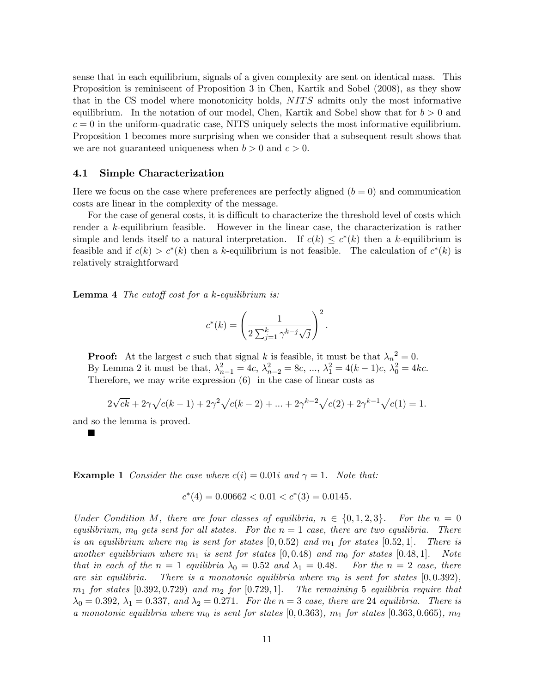sense that in each equilibrium, signals of a given complexity are sent on identical mass. This Proposition is reminiscent of Proposition 3 in Chen, Kartik and Sobel (2008), as they show that in the CS model where monotonicity holds, NITS admits only the most informative equilibrium. In the notation of our model, Chen, Kartik and Sobel show that for  $b > 0$  and  $c = 0$  in the uniform-quadratic case, NITS uniquely selects the most informative equilibrium. Proposition 1 becomes more surprising when we consider that a subsequent result shows that we are not guaranteed uniqueness when  $b > 0$  and  $c > 0$ .

#### 4.1 Simple Characterization

Here we focus on the case where preferences are perfectly aligned  $(b = 0)$  and communication costs are linear in the complexity of the message.

For the case of general costs, it is difficult to characterize the threshold level of costs which render a k-equilibrium feasible. However in the linear case, the characterization is rather simple and lends itself to a natural interpretation. If  $c(k) \leq c^*(k)$  then a k-equilibrium is feasible and if  $c(k) > c^*(k)$  then a k-equilibrium is not feasible. The calculation of  $c^*(k)$  is relatively straightforward

**Lemma 4** The cutoff cost for a k-equilibrium is:

$$
c^*(k) = \left(\frac{1}{2\sum_{j=1}^k \gamma^{k-j} \sqrt{j}}\right)^2.
$$

**Proof:** At the largest c such that signal k is feasible, it must be that  $\lambda_n^2 = 0$ . By Lemma 2 it must be that,  $\lambda_{n-1}^2 = 4c, \lambda_{n-2}^2 = 8c, ..., \lambda_1^2 = 4(k-1)c, \lambda_0^2 = 4kc.$ Therefore, we may write expression (6) in the case of linear costs as

$$
2\sqrt{ck} + 2\gamma\sqrt{c(k-1)} + 2\gamma^{2}\sqrt{c(k-2)} + \dots + 2\gamma^{k-2}\sqrt{c(2)} + 2\gamma^{k-1}\sqrt{c(1)} = 1.
$$

and so the lemma is proved.

ш

**Example 1** Consider the case where  $c(i) = 0.01i$  and  $\gamma = 1$ . Note that:

$$
c^*(4) = 0.00662 < 0.01 < c^*(3) = 0.0145.
$$

Under Condition M, there are four classes of equilibria,  $n \in \{0, 1, 2, 3\}$ . For the  $n = 0$ equilibrium,  $m_0$  gets sent for all states. For the  $n = 1$  case, there are two equilibria. There is an equilibrium where  $m_0$  is sent for states  $[0, 0.52)$  and  $m_1$  for states  $[0.52, 1]$ . There is another equilibrium where  $m_1$  is sent for states  $(0, 0.48)$  and  $m_0$  for states  $(0.48, 1]$ . Note that in each of the  $n = 1$  equilibria  $\lambda_0 = 0.52$  and  $\lambda_1 = 0.48$ . For the  $n = 2$  case, there are six equilibria. There is a monotonic equilibria where  $m_0$  is sent for states  $[0, 0.392)$ ,  $m_1$  for states  $(0.392, 0.729)$  and  $m_2$  for  $(0.729, 1]$ . The remaining 5 equilibria require that  $\lambda_0 = 0.392, \lambda_1 = 0.337,$  and  $\lambda_2 = 0.271$ . For the  $n = 3$  case, there are 24 equilibria. There is a monotonic equilibria where  $m_0$  is sent for states  $(0, 0.363)$ ,  $m_1$  for states  $(0.363, 0.665)$ ,  $m_2$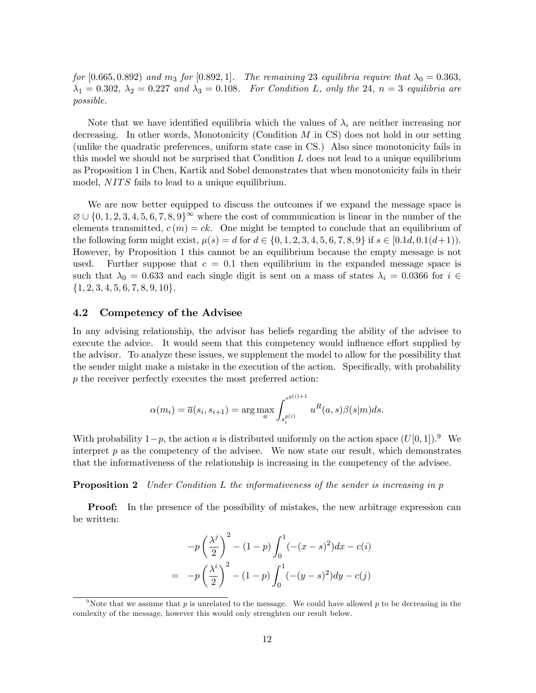for [0.665, 0.892) and m<sub>3</sub> for [0.892, 1]. The remaining 23 equilibria require that  $\lambda_0 = 0.363$ ,  $\lambda_1 = 0.302$ ,  $\lambda_2 = 0.227$  and  $\lambda_3 = 0.108$ . For Condition L, only the 24,  $n = 3$  equilibria are possible.

Note that we have identified equilibria which the values of  $\lambda_i$  are neither increasing nor decreasing. In other words, Monotonicity (Condition  $M$  in CS) does not hold in our setting (unlike the quadratic preferences, uniform state case in CS.) Also since monotonicity fails in this model we should not be surprised that Condition  $L$  does not lead to a unique equilibrium as Proposition 1 in Chen, Kartik and Sobel demonstrates that when monotonicity fails in their model, NITS fails to lead to a unique equilibrium.

We are now better equipped to discuss the outcomes if we expand the message space is  $\varnothing \cup \{0, 1, 2, 3, 4, 5, 6, 7, 8, 9\}^{\infty}$  where the cost of communication is linear in the number of the elements transmitted,  $c(m) = ck$ . One might be tempted to conclude that an equilibrium of the following form might exist,  $\mu(s) = d$  for  $d \in \{0, 1, 2, 3, 4, 5, 6, 7, 8, 9\}$  if  $s \in [0.1d, 0.1(d+1)).$ However, by Proposition 1 this cannot be an equilibrium because the empty message is not used. Further suppose that  $c = 0.1$  then equilibrium in the expanded message space is such that  $\lambda_0 = 0.633$  and each single digit is sent on a mass of states  $\lambda_i = 0.0366$  for  $i \in$  $\{1, 2, 3, 4, 5, 6, 7, 8, 9, 10\}.$ 

#### 4.2 Competency of the Advisee

In any advising relationship, the advisor has beliefs regarding the ability of the advisee to execute the advice. It would seem that this competency would influence effort supplied by the advisor. To analyze these issues, we supplement the model to allow for the possibility that the sender might make a mistake in the execution of the action. Specifically, with probability p the receiver perfectly executes the most preferred action:

$$
\alpha(m_i) = \overline{a}(s_i, s_{i+1}) = \arg\max_{a} \int_{s_i^{g(i)}}^{s^{g(i)+1}} u^R(a, s)\beta(s|m)ds.
$$

With probability  $1-p$ , the action a is distributed uniformly on the action space  $(U[0, 1])$ .<sup>9</sup> We interpret  $p$  as the competency of the advisee. We now state our result, which demonstrates that the informativeness of the relationship is increasing in the competency of the advisee.

#### **Proposition 2** Under Condition L the informativeness of the sender is increasing in  $p$

**Proof:** In the presence of the possibility of mistakes, the new arbitrage expression can be written:

$$
-p\left(\frac{\lambda^j}{2}\right)^2 - (1-p)\int_0^1(-(x-s)^2)dx - c(i)
$$
  
= 
$$
-p\left(\frac{\lambda^i}{2}\right)^2 - (1-p)\int_0^1(-(y-s)^2)dy - c(j)
$$

<sup>&</sup>lt;sup>9</sup>Note that we assume that p is unrelated to the message. We could have allowed p to be decreasing in the comlexity of the message, however this would only strenghten our result below.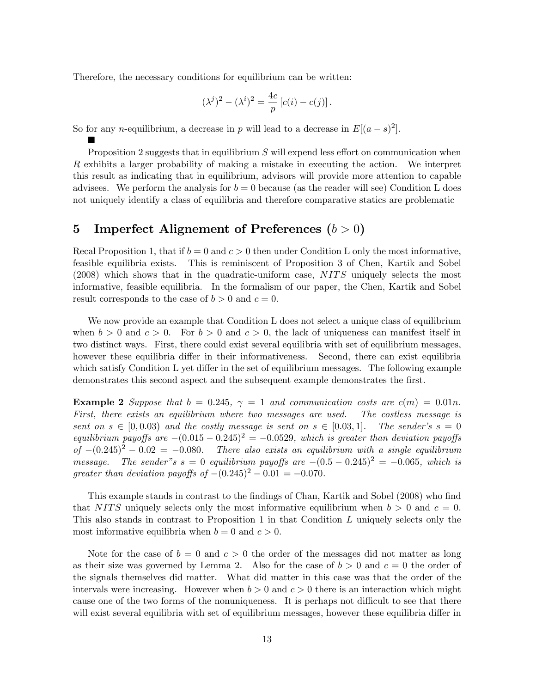Therefore, the necessary conditions for equilibrium can be written:

 $\blacksquare$ 

$$
(\lambda^{j})^{2} - (\lambda^{i})^{2} = \frac{4c}{p} [c(i) - c(j)].
$$

So for any *n*-equilibrium, a decrease in *p* will lead to a decrease in  $E[(a-s)^2]$ .

Proposition 2 suggests that in equilibrium  $S$  will expend less effort on communication when R exhibits a larger probability of making a mistake in executing the action. We interpret this result as indicating that in equilibrium, advisors will provide more attention to capable advisees. We perform the analysis for  $b = 0$  because (as the reader will see) Condition L does not uniquely identify a class of equilibria and therefore comparative statics are problematic

### 5 Imperfect Alignement of Preferences  $(b > 0)$

Recal Proposition 1, that if  $b = 0$  and  $c > 0$  then under Condition L only the most informative, feasible equilibria exists. This is reminiscent of Proposition 3 of Chen, Kartik and Sobel  $(2008)$  which shows that in the quadratic-uniform case,  $NITS$  uniquely selects the most informative, feasible equilibria. In the formalism of our paper, the Chen, Kartik and Sobel result corresponds to the case of  $b > 0$  and  $c = 0$ .

We now provide an example that Condition L does not select a unique class of equilibrium when  $b > 0$  and  $c > 0$ . For  $b > 0$  and  $c > 0$ , the lack of uniqueness can manifest itself in two distinct ways. First, there could exist several equilibria with set of equilibrium messages, however these equilibria differ in their informativeness. Second, there can exist equilibria which satisfy Condition L yet differ in the set of equilibrium messages. The following example demonstrates this second aspect and the subsequent example demonstrates the first.

**Example 2** Suppose that  $b = 0.245$ ,  $\gamma = 1$  and communication costs are  $c(m) = 0.01n$ . First, there exists an equilibrium where two messages are used. The costless message is sent on  $s \in [0, 0.03)$  and the costly message is sent on  $s \in [0.03, 1]$ . The sender's  $s = 0$ equilibrium payoffs are  $-(0.015 - 0.245)^2 = -0.0529$ , which is greater than deviation payoffs of  $-(0.245)^2 - 0.02 = -0.080$ . There also exists an equilibrium with a single equilibrium message. The sender"s  $s = 0$  equilibrium payoffs are  $-(0.5 - 0.245)^2 = -0.065$ , which is The sender"s s = 0 equilibrium payoffs are  $-(0.5 - 0.245)^2 = -0.065$ , which is greater than deviation payoffs of  $-(0.245)^2 - 0.01 = -0.070$ .

This example stands in contrast to the findings of Chan, Kartik and Sobel (2008) who find that NITS uniquely selects only the most informative equilibrium when  $b > 0$  and  $c = 0$ . This also stands in contrast to Proposition 1 in that Condition L uniquely selects only the most informative equilibria when  $b = 0$  and  $c > 0$ .

Note for the case of  $b = 0$  and  $c > 0$  the order of the messages did not matter as long as their size was governed by Lemma 2. Also for the case of  $b > 0$  and  $c = 0$  the order of the signals themselves did matter. What did matter in this case was that the order of the intervals were increasing. However when  $b > 0$  and  $c > 0$  there is an interaction which might cause one of the two forms of the nonuniqueness. It is perhaps not difficult to see that there will exist several equilibria with set of equilibrium messages, however these equilibria differ in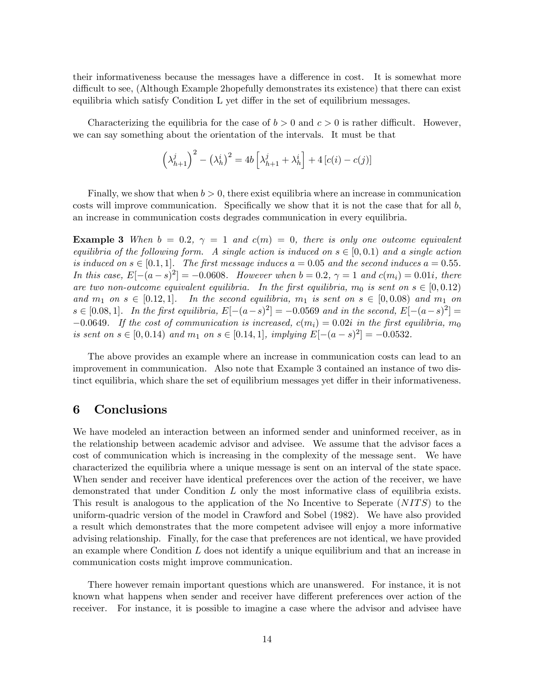their informativeness because the messages have a difference in cost. It is somewhat more difficult to see, (Although Example 2hopefully demonstrates its existence) that there can exist equilibria which satisfy Condition  $L$  yet differ in the set of equilibrium messages.

Characterizing the equilibria for the case of  $b > 0$  and  $c > 0$  is rather difficult. However, we can say something about the orientation of the intervals. It must be that

$$
\left(\lambda_{h+1}^j\right)^2 - \left(\lambda_h^i\right)^2 = 4b\left[\lambda_{h+1}^j + \lambda_h^i\right] + 4\left[c(i) - c(j)\right]
$$

Finally, we show that when  $b > 0$ , there exist equilibria where an increase in communication costs will improve communication. Specifically we show that it is not the case that for all  $b$ , an increase in communication costs degrades communication in every equilibria.

**Example 3** When  $b = 0.2$ ,  $\gamma = 1$  and  $c(m) = 0$ , there is only one outcome equivalent equilibria of the following form. A single action is induced on  $s \in [0, 0.1)$  and a single action is induced on  $s \in [0.1, 1]$ . The first message induces  $a = 0.05$  and the second induces  $a = 0.55$ . In this case,  $E[-(a-s)^2] = -0.0608$ . However when  $b = 0.2$ ,  $\gamma = 1$  and  $c(m_i) = 0.01i$ , there are two non-outcome equivalent equilibria. In the first equilibria,  $m_0$  is sent on  $s \in [0, 0.12)$ and  $m_1$  on  $s \in [0.12, 1]$ . In the second equilibria,  $m_1$  is sent on  $s \in [0, 0.08)$  and  $m_1$  on  $s \in [0.08, 1]$ . In the first equilibria,  $E[-(a-s)^2] = -0.0569$  and in the second,  $E[-(a-s)^2] =$  $-0.0649$ . If the cost of communication is increased,  $c(m_i) = 0.02i$  in the first equilibria,  $m_0$ is sent on  $s \in [0, 0.14)$  and  $m_1$  on  $s \in [0.14, 1]$ , implying  $E[-(a-s)^2] = -0.0532$ .

The above provides an example where an increase in communication costs can lead to an improvement in communication. Also note that Example 3 contained an instance of two distinct equilibria, which share the set of equilibrium messages yet differ in their informativeness.

#### 6 Conclusions

We have modeled an interaction between an informed sender and uninformed receiver, as in the relationship between academic advisor and advisee. We assume that the advisor faces a cost of communication which is increasing in the complexity of the message sent. We have characterized the equilibria where a unique message is sent on an interval of the state space. When sender and receiver have identical preferences over the action of the receiver, we have demonstrated that under Condition  $L$  only the most informative class of equilibria exists. This result is analogous to the application of the No Incentive to Seperate  $(NITS)$  to the uniform-quadric version of the model in Crawford and Sobel (1982). We have also provided a result which demonstrates that the more competent advisee will enjoy a more informative advising relationship. Finally, for the case that preferences are not identical, we have provided an example where Condition  $L$  does not identify a unique equilibrium and that an increase in communication costs might improve communication.

There however remain important questions which are unanswered. For instance, it is not known what happens when sender and receiver have different preferences over action of the receiver. For instance, it is possible to imagine a case where the advisor and advisee have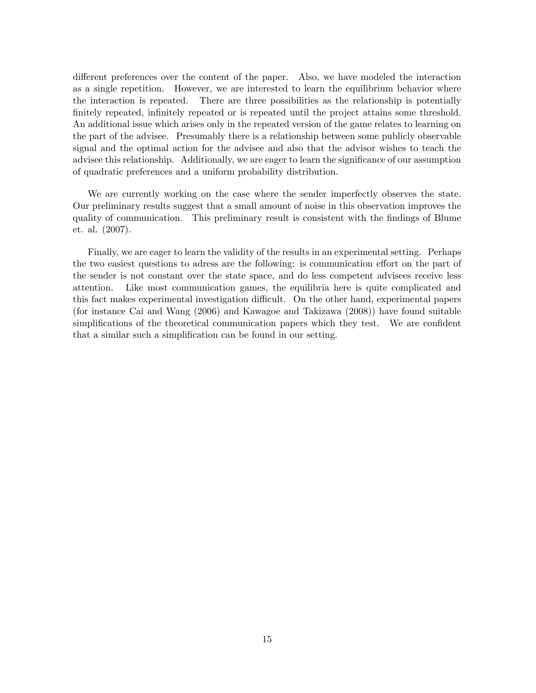different preferences over the content of the paper. Also, we have modeled the interaction as a single repetition. However, we are interested to learn the equilibrium behavior where the interaction is repeated. There are three possibilities as the relationship is potentially finitely repeated, infinitely repeated or is repeated until the project attains some threshold. An additional issue which arises only in the repeated version of the game relates to learning on the part of the advisee. Presumably there is a relationship between some publicly observable signal and the optimal action for the advisee and also that the advisor wishes to teach the advisee this relationship. Additionally, we are eager to learn the significance of our assumption of quadratic preferences and a uniform probability distribution.

We are currently working on the case where the sender imperfectly observes the state. Our preliminary results suggest that a small amount of noise in this observation improves the quality of communication. This preliminary result is consistent with the Öndings of Blume et. al. (2007).

Finally, we are eager to learn the validity of the results in an experimental setting. Perhaps the two easiest questions to adress are the following: is communication effort on the part of the sender is not constant over the state space, and do less competent advisees receive less attention. Like most communication games, the equilibria here is quite complicated and this fact makes experimental investigation difficult. On the other hand, experimental papers (for instance Cai and Wang (2006) and Kawagoe and Takizawa (2008)) have found suitable simplifications of the theoretical communication papers which they test. We are confident that a similar such a simplification can be found in our setting.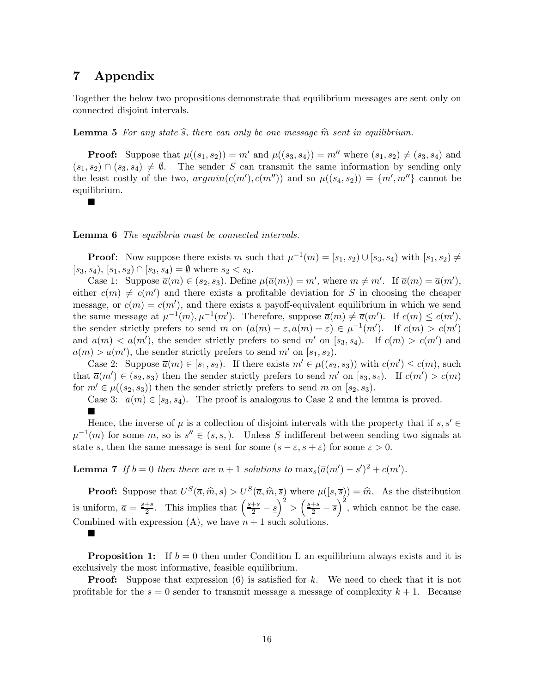### 7 Appendix

П

П

Together the below two propositions demonstrate that equilibrium messages are sent only on connected disjoint intervals.

**Lemma 5** For any state  $\hat{s}$ , there can only be one message  $\hat{m}$  sent in equilibrium.

**Proof:** Suppose that  $\mu((s_1, s_2)) = m'$  and  $\mu((s_3, s_4)) = m''$  where  $(s_1, s_2) \neq (s_3, s_4)$  and  $(s_1, s_2) \cap (s_3, s_4) \neq \emptyset$ . The sender S can transmit the same information by sending only the least costly of the two,  $argmin(c(m'), c(m''))$  and so  $\mu((s_4, s_2)) = \{m', m''\}$  cannot be equilibrium.

Lemma 6 The equilibria must be connected intervals.

**Proof:** Now suppose there exists m such that  $\mu^{-1}(m) = [s_1, s_2) \cup [s_3, s_4)$  with  $[s_1, s_2) \neq$  $[s_3, s_4), [s_1, s_2) \cap [s_3, s_4] = \emptyset$  where  $s_2 < s_3$ .

Case 1: Suppose  $\overline{a}(m) \in (s_2, s_3)$ . Define  $\mu(\overline{a}(m)) = m'$ , where  $m \neq m'$ . If  $\overline{a}(m) = \overline{a}(m')$ , either  $c(m) \neq c(m')$  and there exists a profitable deviation for S in choosing the cheaper message, or  $c(m) = c(m')$ , and there exists a payoff-equivalent equilibrium in which we send the same message at  $\mu^{-1}(m), \mu^{-1}(m')$ . Therefore, suppose  $\overline{a}(m) \neq \overline{a}(m')$ . If  $c(m) \leq c(m')$ , the sender strictly prefers to send m on  $(\overline{a}(m) - \varepsilon, \overline{a}(m) + \varepsilon) \in \mu^{-1}(m')$ . If  $c(m) > c(m')$ and  $\bar{a}(m) < \bar{a}(m')$ , the sender strictly prefers to send m' on [s<sub>3</sub>, s<sub>4</sub>). If  $c(m) > c(m')$  and  $\overline{a}(m) > \overline{a}(m')$ , the sender strictly prefers to send m' on [s<sub>1</sub>, s<sub>2</sub>).

Case 2: Suppose  $\overline{a}(m) \in [s_1, s_2)$ . If there exists  $m' \in \mu((s_2, s_3))$  with  $c(m') \leq c(m)$ , such that  $\overline{a}(m') \in (s_2, s_3)$  then the sender strictly prefers to send m' on  $[s_3, s_4)$ . If  $c(m') > c(m)$ for  $m' \in \mu((s_2, s_3))$  then the sender strictly prefers to send m on [s<sub>2</sub>, s<sub>3</sub>).

Case 3:  $\bar{a}(m) \in [s_3, s_4]$ . The proof is analogous to Case 2 and the lemma is proved. Ë

Hence, the inverse of  $\mu$  is a collection of disjoint intervals with the property that if  $s, s' \in$  $\mu^{-1}(m)$  for some m, so is  $s'' \in (s, s)$ . Unless S indifferent between sending two signals at state s, then the same message is sent for some  $(s - \varepsilon, s + \varepsilon)$  for some  $\varepsilon > 0$ .

**Lemma 7** If  $b = 0$  then there are  $n + 1$  solutions to  $\max_s(\overline{a}(m') - s')^2 + c(m')$ .

**Proof:** Suppose that  $U^S(\overline{a}, \widehat{m}, \underline{s}) > U^S(\overline{a}, \widehat{m}, \overline{s})$  where  $\mu([\underline{s}, \overline{s}]) = \widehat{m}$ . As the distribution is uniform,  $\overline{a} = \frac{s+\overline{s}}{2}$  $\frac{1}{2}$ . This implies that  $\left(\frac{s+\overline{s}}{2} - \underline{s}\right)$  $\Big)^2 > \Big(\frac{\cancel{s}+\overline{\cancel{s}}}{2}-\overline{\cancel{s}}\Big)$  $\int_{0}^{2}$ , which cannot be the case. Combined with expression  $(A)$ , we have  $n + 1$  such solutions.

**Proposition 1:** If  $b = 0$  then under Condition L an equilibrium always exists and it is

exclusively the most informative, feasible equilibrium. **Proof:** Suppose that expression  $(6)$  is satisfied for k. We need to check that it is not

profitable for the  $s = 0$  sender to transmit message a message of complexity  $k + 1$ . Because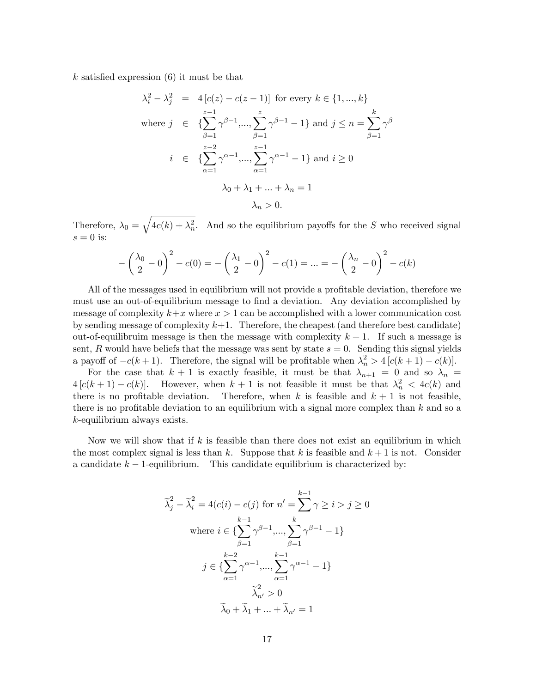$k$  satisfied expression  $(6)$  it must be that

$$
\lambda_i^2 - \lambda_j^2 = 4[c(z) - c(z - 1)] \text{ for every } k \in \{1, ..., k\}
$$
  
where  $j \in \{\sum_{\beta=1}^{z-1} \gamma^{\beta-1}, ..., \sum_{\beta=1}^{z} \gamma^{\beta-1} - 1\}$  and  $j \le n = \sum_{\beta=1}^{k} \gamma^{\beta}$   
 $i \in \{\sum_{\alpha=1}^{z-2} \gamma^{\alpha-1}, ..., \sum_{\alpha=1}^{z-1} \gamma^{\alpha-1} - 1\} \text{ and } i \ge 0$   
 $\lambda_0 + \lambda_1 + ... + \lambda_n = 1$   
 $\lambda_n > 0.$ 

Therefore,  $\lambda_0 = \sqrt{4c(k) + \lambda_n^2}$ . And so the equilibrium payoffs for the S who received signal  $s = 0$  is:

$$
-\left(\frac{\lambda_0}{2} - 0\right)^2 - c(0) = -\left(\frac{\lambda_1}{2} - 0\right)^2 - c(1) = \dots = -\left(\frac{\lambda_n}{2} - 0\right)^2 - c(k)
$$

All of the messages used in equilibrium will not provide a profitable deviation, therefore we must use an out-of-equilibrium message to find a deviation. Any deviation accomplished by message of complexity  $k+x$  where  $x > 1$  can be accomplished with a lower communication cost by sending message of complexity  $k+1$ . Therefore, the cheapest (and therefore best candidate) out-of-equilibruim message is then the message with complexity  $k + 1$ . If such a message is sent, R would have beliefs that the message was sent by state  $s = 0$ . Sending this signal yields a payoff of  $-c(k + 1)$ . Therefore, the signal will be profitable when  $\lambda_n^2 > 4[c(k + 1) - c(k)]$ .

For the case that  $k + 1$  is exactly feasible, it must be that  $\lambda_{n+1} = 0$  and so  $\lambda_n =$  $4[c(k+1)-c(k)]$ . However, when  $k+1$  is not feasible it must be that  $\lambda_n^2 < 4c(k)$  and there is no profitable deviation. Therefore, when k is feasible and  $k + 1$  is not feasible, there is no profitable deviation to an equilibrium with a signal more complex than  $k$  and so a k-equilibrium always exists.

Now we will show that if  $k$  is feasible than there does not exist an equilibrium in which the most complex signal is less than k. Suppose that k is feasible and  $k + 1$  is not. Consider a candidate  $k-1$ -equilibrium. This candidate equilibrium is characterized by:

$$
\widetilde{\lambda}_j^2 - \widetilde{\lambda}_i^2 = 4(c(i) - c(j) \text{ for } n' = \sum_{k=1}^{k-1} \gamma \ge i > j \ge 0
$$
  
where  $i \in \{\sum_{\beta=1}^{k-1} \gamma^{\beta-1} \dots, \sum_{\beta=1}^{k} \gamma^{\beta-1} - 1\}$   
 $j \in \{\sum_{\alpha=1}^{k-2} \gamma^{\alpha-1} \dots, \sum_{\alpha=1}^{k-1} \gamma^{\alpha-1} - 1\}$   
 $\widetilde{\lambda}_{n'}^2 > 0$   
 $\widetilde{\lambda}_0 + \widetilde{\lambda}_1 + \dots + \widetilde{\lambda}_{n'} = 1$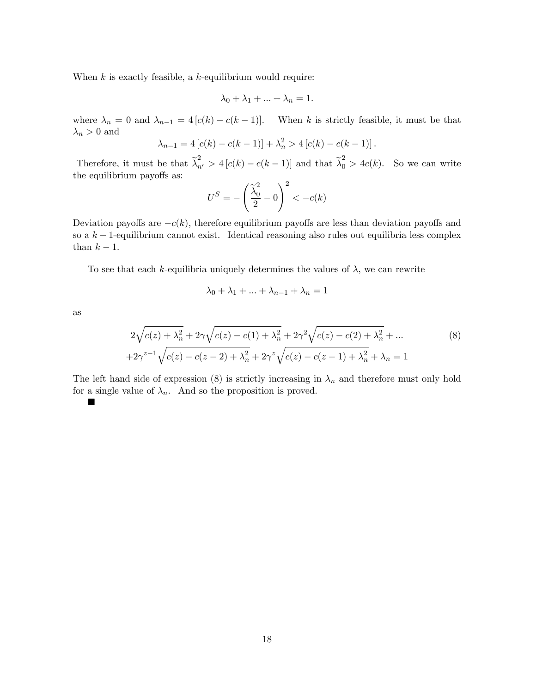When  $k$  is exactly feasible, a  $k$ -equilibrium would require:

$$
\lambda_0 + \lambda_1 + \ldots + \lambda_n = 1.
$$

where  $\lambda_n = 0$  and  $\lambda_{n-1} = 4 [c(k) - c(k-1)].$  When k is strictly feasible, it must be that  $\lambda_n > 0$  and

$$
\lambda_{n-1} = 4[c(k) - c(k-1)] + \lambda_n^2 > 4[c(k) - c(k-1)].
$$

Therefore, it must be that  $\tilde{\lambda}_{n'}^2 > 4 [c(k) - c(k-1)]$  and that  $\tilde{\lambda}_0^2 > 4c(k)$ . So we can write the equilibrium payoffs as:

$$
U^S = -\left(\frac{\widetilde{\lambda}_0^2}{2} - 0\right)^2 < -c(k)
$$

Deviation payoffs are  $-c(k)$ , therefore equilibrium payoffs are less than deviation payoffs and so a  $k-1$ -equilibrium cannot exist. Identical reasoning also rules out equilibria less complex than  $k - 1$ .

To see that each k-equilibria uniquely determines the values of  $\lambda$ , we can rewrite

$$
\lambda_0 + \lambda_1 + \ldots + \lambda_{n-1} + \lambda_n = 1
$$

as

$$
2\sqrt{c(z) + \lambda_n^2} + 2\gamma\sqrt{c(z) - c(1) + \lambda_n^2} + 2\gamma^2\sqrt{c(z) - c(2) + \lambda_n^2} + \dots
$$
  
+2\gamma^{z-1}\sqrt{c(z) - c(z - 2) + \lambda\_n^2} + 2\gamma^z\sqrt{c(z) - c(z - 1) + \lambda\_n^2} + \lambda\_n = 1 (8)

The left hand side of expression (8) is strictly increasing in  $\lambda_n$  and therefore must only hold for a single value of  $\lambda_n$ . And so the proposition is proved.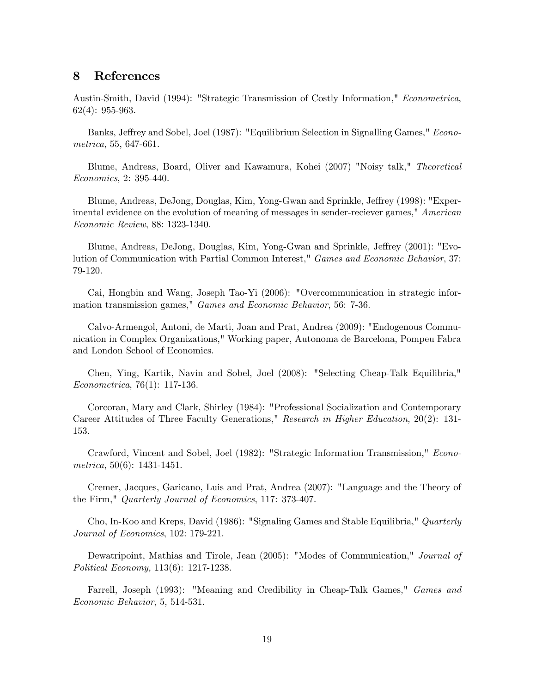### 8 References

Austin-Smith, David (1994): "Strategic Transmission of Costly Information," Econometrica, 62(4): 955-963.

Banks, Jeffrey and Sobel, Joel (1987): "Equilibrium Selection in Signalling Games," Econometrica, 55, 647-661.

Blume, Andreas, Board, Oliver and Kawamura, Kohei (2007) "Noisy talk," Theoretical Economics, 2: 395-440.

Blume, Andreas, DeJong, Douglas, Kim, Yong-Gwan and Sprinkle, Jeffrey (1998): "Experimental evidence on the evolution of meaning of messages in sender-reciever games," American Economic Review, 88: 1323-1340.

Blume, Andreas, DeJong, Douglas, Kim, Yong-Gwan and Sprinkle, Jeffrey (2001): "Evolution of Communication with Partial Common Interest," Games and Economic Behavior, 37: 79-120.

Cai, Hongbin and Wang, Joseph Tao-Yi (2006): "Overcommunication in strategic information transmission games," Games and Economic Behavior, 56: 7-36.

Calvo-Armengol, Antoni, de Marti, Joan and Prat, Andrea (2009): "Endogenous Communication in Complex Organizations," Working paper, Autonoma de Barcelona, Pompeu Fabra and London School of Economics.

Chen, Ying, Kartik, Navin and Sobel, Joel (2008): "Selecting Cheap-Talk Equilibria," Econometrica, 76(1): 117-136.

Corcoran, Mary and Clark, Shirley (1984): "Professional Socialization and Contemporary Career Attitudes of Three Faculty Generations," Research in Higher Education, 20(2): 131- 153.

Crawford, Vincent and Sobel, Joel (1982): "Strategic Information Transmission," Econometrica, 50(6): 1431-1451.

Cremer, Jacques, Garicano, Luis and Prat, Andrea (2007): "Language and the Theory of the Firm," Quarterly Journal of Economics, 117: 373-407.

Cho, In-Koo and Kreps, David (1986): "Signaling Games and Stable Equilibria," Quarterly Journal of Economics, 102: 179-221.

Dewatripoint, Mathias and Tirole, Jean  $(2005)$ : "Modes of Communication," *Journal of* Political Economy, 113(6): 1217-1238.

Farrell, Joseph (1993): "Meaning and Credibility in Cheap-Talk Games," Games and Economic Behavior, 5, 514-531.